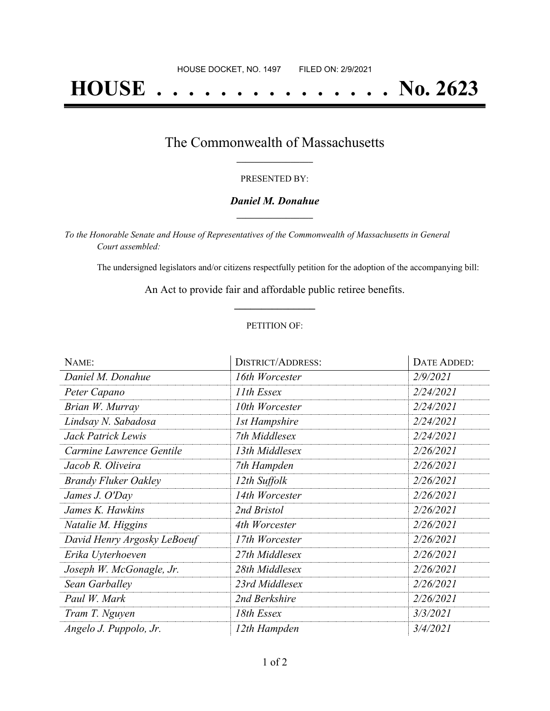# **HOUSE . . . . . . . . . . . . . . . No. 2623**

### The Commonwealth of Massachusetts **\_\_\_\_\_\_\_\_\_\_\_\_\_\_\_\_\_**

#### PRESENTED BY:

#### *Daniel M. Donahue* **\_\_\_\_\_\_\_\_\_\_\_\_\_\_\_\_\_**

*To the Honorable Senate and House of Representatives of the Commonwealth of Massachusetts in General Court assembled:*

The undersigned legislators and/or citizens respectfully petition for the adoption of the accompanying bill:

An Act to provide fair and affordable public retiree benefits. **\_\_\_\_\_\_\_\_\_\_\_\_\_\_\_**

#### PETITION OF:

| NAME:                       | <b>DISTRICT/ADDRESS:</b> | DATE ADDED: |
|-----------------------------|--------------------------|-------------|
| Daniel M. Donahue           | 16th Worcester           | 2/9/2021    |
| Peter Capano                | 11th Essex               | 2/24/2021   |
| Brian W. Murray             | 10th Worcester           | 2/24/2021   |
| Lindsay N. Sabadosa         | <b>1st Hampshire</b>     | 2/24/2021   |
| Jack Patrick Lewis          | 7th Middlesex            | 2/24/2021   |
| Carmine Lawrence Gentile    | 13th Middlesex           | 2/26/2021   |
| Jacob R. Oliveira           | 7th Hampden              | 2/26/2021   |
| <b>Brandy Fluker Oakley</b> | 12th Suffolk             | 2/26/2021   |
| James J. O'Day              | 14th Worcester           | 2/26/2021   |
| James K. Hawkins            | 2nd Bristol              | 2/26/2021   |
| Natalie M. Higgins          | 4th Worcester            | 2/26/2021   |
| David Henry Argosky LeBoeuf | 17th Worcester           | 2/26/2021   |
| Erika Uyterhoeven           | 27th Middlesex           | 2/26/2021   |
| Joseph W. McGonagle, Jr.    | 28th Middlesex           | 2/26/2021   |
| Sean Garballey              | 23rd Middlesex           | 2/26/2021   |
| Paul W. Mark                | 2nd Berkshire            | 2/26/2021   |
| Tram T. Nguyen              | 18th Essex               | 3/3/2021    |
| Angelo J. Puppolo, Jr.      | 12th Hampden             | 3/4/2021    |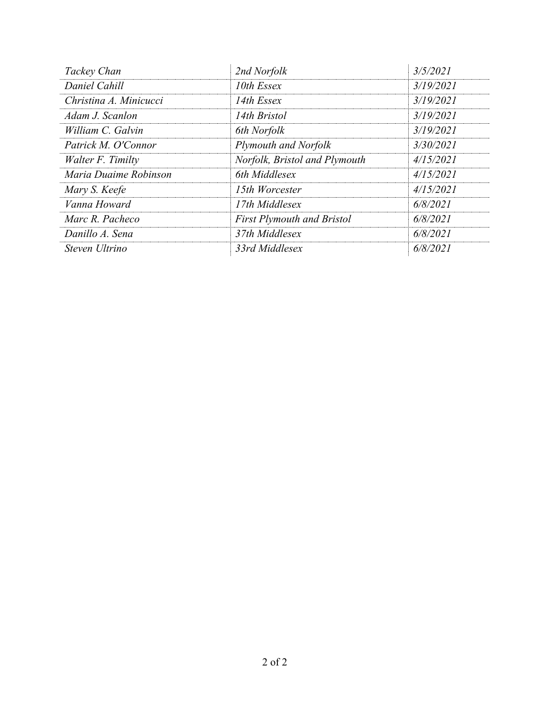| Tackey Chan            | 2nd Norfolk                       | 3/5/2021  |
|------------------------|-----------------------------------|-----------|
| Daniel Cahill          | 10th Essex                        | 3/19/2021 |
| Christina A. Minicucci | 14th Essex                        | 3/19/2021 |
| Adam J. Scanlon        | 14th Bristol                      | 3/19/2021 |
| William C. Galvin      | 6th Norfolk                       | 3/19/2021 |
| Patrick M. O'Connor    | Plymouth and Norfolk              | 3/30/2021 |
| Walter F. Timilty      | Norfolk, Bristol and Plymouth     | 4/15/2021 |
| Maria Duaime Robinson  | 6th Middlesex                     | 4/15/2021 |
| Mary S. Keefe          | 15th Worcester                    | 4/15/2021 |
| Vanna Howard           | 17th Middlesex                    | 6/8/2021  |
| Marc R. Pacheco        | <b>First Plymouth and Bristol</b> | 6/8/2021  |
| Danillo A. Sena        | 37th Middlesex                    | 6/8/2021  |
| Steven Ultrino         | 33rd Middlesex                    | 6/8/2021  |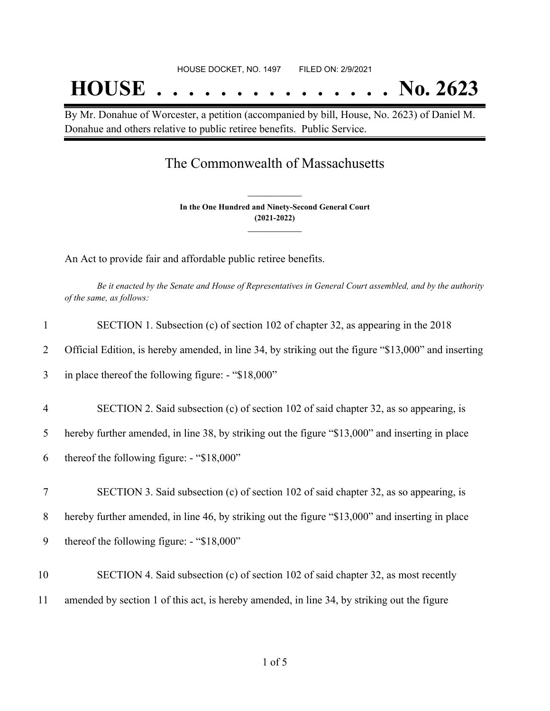## **HOUSE . . . . . . . . . . . . . . . No. 2623**

By Mr. Donahue of Worcester, a petition (accompanied by bill, House, No. 2623) of Daniel M. Donahue and others relative to public retiree benefits. Public Service.

### The Commonwealth of Massachusetts

**In the One Hundred and Ninety-Second General Court (2021-2022) \_\_\_\_\_\_\_\_\_\_\_\_\_\_\_**

**\_\_\_\_\_\_\_\_\_\_\_\_\_\_\_**

An Act to provide fair and affordable public retiree benefits.

Be it enacted by the Senate and House of Representatives in General Court assembled, and by the authority *of the same, as follows:*

|                | SECTION 1. Subsection (c) of section 102 of chapter 32, as appearing in the 2018                     |
|----------------|------------------------------------------------------------------------------------------------------|
| 2              | Official Edition, is hereby amended, in line 34, by striking out the figure "\$13,000" and inserting |
| 3              | in place thereof the following figure: - "\$18,000"                                                  |
| $\overline{4}$ | SECTION 2. Said subsection (c) of section 102 of said chapter 32, as so appearing, is                |
| 5              | hereby further amended, in line 38, by striking out the figure "\$13,000" and inserting in place     |
| 6              | thereof the following figure: - "\$18,000"                                                           |
| 7              | SECTION 3. Said subsection (c) of section 102 of said chapter 32, as so appearing, is                |
| 8              | hereby further amended, in line 46, by striking out the figure "\$13,000" and inserting in place     |
| 9              | thereof the following figure: $-$ "\$18,000"                                                         |
| 10             | SECTION 4. Said subsection (c) of section 102 of said chapter 32, as most recently                   |
| 11             | amended by section 1 of this act, is hereby amended, in line 34, by striking out the figure          |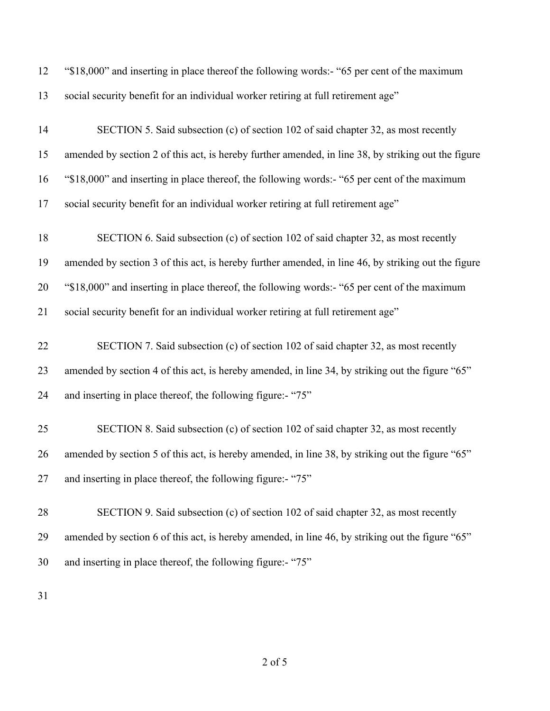| 12 | "\$18,000" and inserting in place thereof the following words:- "65 per cent of the maximum         |
|----|-----------------------------------------------------------------------------------------------------|
| 13 | social security benefit for an individual worker retiring at full retirement age"                   |
| 14 | SECTION 5. Said subsection (c) of section 102 of said chapter 32, as most recently                  |
| 15 | amended by section 2 of this act, is hereby further amended, in line 38, by striking out the figure |
| 16 | "\$18,000" and inserting in place thereof, the following words:- "65 per cent of the maximum        |
| 17 | social security benefit for an individual worker retiring at full retirement age"                   |
| 18 | SECTION 6. Said subsection (c) of section 102 of said chapter 32, as most recently                  |
| 19 | amended by section 3 of this act, is hereby further amended, in line 46, by striking out the figure |
| 20 | "\$18,000" and inserting in place thereof, the following words:- "65 per cent of the maximum        |
| 21 | social security benefit for an individual worker retiring at full retirement age"                   |
| 22 | SECTION 7. Said subsection (c) of section 102 of said chapter 32, as most recently                  |
| 23 | amended by section 4 of this act, is hereby amended, in line 34, by striking out the figure "65"    |
| 24 | and inserting in place thereof, the following figure:- "75"                                         |
| 25 | SECTION 8. Said subsection (c) of section 102 of said chapter 32, as most recently                  |
| 26 | amended by section 5 of this act, is hereby amended, in line 38, by striking out the figure "65"    |
| 27 | and inserting in place thereof, the following figure:- "75"                                         |
| 28 | SECTION 9. Said subsection (c) of section 102 of said chapter 32, as most recently                  |
| 29 | amended by section 6 of this act, is hereby amended, in line 46, by striking out the figure "65"    |
| 30 | and inserting in place thereof, the following figure:- "75"                                         |
|    |                                                                                                     |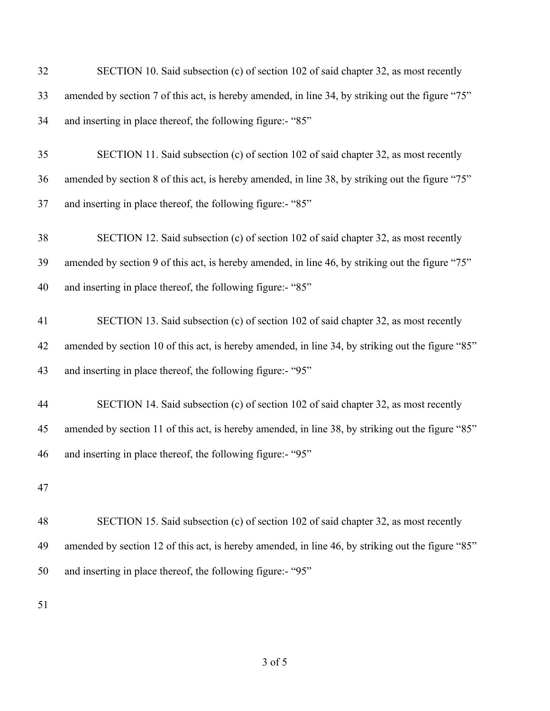| 32 | SECTION 10. Said subsection (c) of section 102 of said chapter 32, as most recently               |
|----|---------------------------------------------------------------------------------------------------|
| 33 | amended by section 7 of this act, is hereby amended, in line 34, by striking out the figure "75"  |
| 34 | and inserting in place thereof, the following figure:- "85"                                       |
| 35 | SECTION 11. Said subsection (c) of section 102 of said chapter 32, as most recently               |
| 36 | amended by section 8 of this act, is hereby amended, in line 38, by striking out the figure "75"  |
| 37 | and inserting in place thereof, the following figure:- "85"                                       |
| 38 | SECTION 12. Said subsection (c) of section 102 of said chapter 32, as most recently               |
| 39 | amended by section 9 of this act, is hereby amended, in line 46, by striking out the figure "75"  |
| 40 | and inserting in place thereof, the following figure:- "85"                                       |
| 41 | SECTION 13. Said subsection (c) of section 102 of said chapter 32, as most recently               |
| 42 | amended by section 10 of this act, is hereby amended, in line 34, by striking out the figure "85" |
| 43 | and inserting in place thereof, the following figure:- "95"                                       |
| 44 | SECTION 14. Said subsection (c) of section 102 of said chapter 32, as most recently               |
| 45 | amended by section 11 of this act, is hereby amended, in line 38, by striking out the figure "85" |
| 46 | and inserting in place thereof, the following figure:- "95"                                       |
| 47 |                                                                                                   |
| 48 | SECTION 15. Said subsection (c) of section 102 of said chapter 32, as most recently               |
| 49 | amended by section 12 of this act, is hereby amended, in line 46, by striking out the figure "85" |
| 50 | and inserting in place thereof, the following figure:- "95"                                       |
|    |                                                                                                   |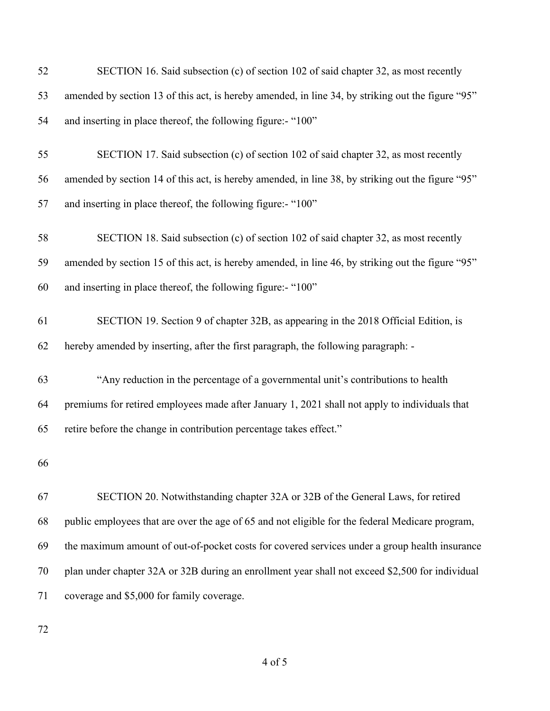| 52 | SECTION 16. Said subsection (c) of section 102 of said chapter 32, as most recently               |
|----|---------------------------------------------------------------------------------------------------|
| 53 | amended by section 13 of this act, is hereby amended, in line 34, by striking out the figure "95" |
| 54 | and inserting in place thereof, the following figure:- "100"                                      |
| 55 | SECTION 17. Said subsection (c) of section 102 of said chapter 32, as most recently               |
| 56 | amended by section 14 of this act, is hereby amended, in line 38, by striking out the figure "95" |
| 57 | and inserting in place thereof, the following figure:- "100"                                      |
| 58 | SECTION 18. Said subsection (c) of section 102 of said chapter 32, as most recently               |
| 59 | amended by section 15 of this act, is hereby amended, in line 46, by striking out the figure "95" |
| 60 | and inserting in place thereof, the following figure:- "100"                                      |
| 61 | SECTION 19. Section 9 of chapter 32B, as appearing in the 2018 Official Edition, is               |
| 62 | hereby amended by inserting, after the first paragraph, the following paragraph: -                |
| 63 | "Any reduction in the percentage of a governmental unit's contributions to health                 |
| 64 | premiums for retired employees made after January 1, 2021 shall not apply to individuals that     |
| 65 | retire before the change in contribution percentage takes effect."                                |
| 66 |                                                                                                   |
| 67 | SECTION 20. Notwithstanding chapter 32A or 32B of the General Laws, for retired                   |
| 68 | public employees that are over the age of 65 and not eligible for the federal Medicare program,   |
| 69 | the maximum amount of out-of-pocket costs for covered services under a group health insurance     |
| 70 | plan under chapter 32A or 32B during an enrollment year shall not exceed \$2,500 for individual   |
| 71 | coverage and \$5,000 for family coverage.                                                         |
|    |                                                                                                   |

of 5